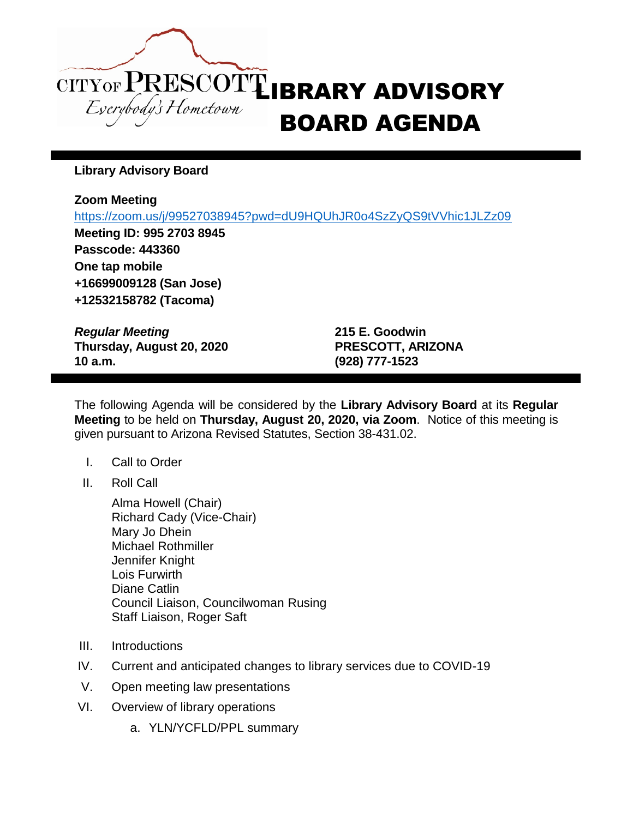

**Library Advisory Board**

## **Zoom Meeting**

<https://zoom.us/j/99527038945?pwd=dU9HQUhJR0o4SzZyQS9tVVhic1JLZz09>

**Meeting ID: 995 2703 8945 Passcode: 443360 One tap mobile +16699009128 (San Jose) +12532158782 (Tacoma)**

*Regular Meeting* **215 E. Goodwin Thursday, August 20, 2020 PRESCOTT, ARIZONA 10 a.m. (928) 777-1523**

The following Agenda will be considered by the **Library Advisory Board** at its **Regular Meeting** to be held on **Thursday, August 20, 2020, via Zoom**. Notice of this meeting is given pursuant to Arizona Revised Statutes, Section 38-431.02.

- I. Call to Order
- II. Roll Call

Alma Howell (Chair) Richard Cady (Vice-Chair) Mary Jo Dhein Michael Rothmiller Jennifer Knight Lois Furwirth Diane Catlin Council Liaison, Councilwoman Rusing Staff Liaison, Roger Saft

- III. Introductions
- IV. Current and anticipated changes to library services due to COVID-19
- V. Open meeting law presentations
- VI. Overview of library operations
	- a. YLN/YCFLD/PPL summary